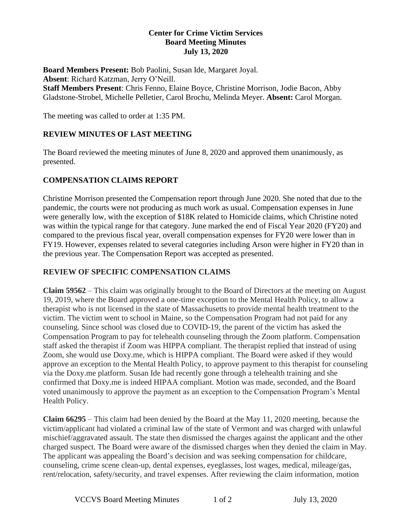#### **Center for Crime Victim Services Board Meeting Minutes July 13, 2020**

**Board Members Present:** Bob Paolini, Susan Ide, Margaret Joyal. **Absent**: Richard Katzman, Jerry O'Neill. **Staff Members Present**: Chris Fenno, Elaine Boyce, Christine Morrison, Jodie Bacon, Abby Gladstone-Strobel, Michelle Pelletier, Carol Brochu, Melinda Meyer. **Absent:** Carol Morgan.

The meeting was called to order at 1:35 PM.

## **REVIEW MINUTES OF LAST MEETING**

The Board reviewed the meeting minutes of June 8, 2020 and approved them unanimously, as presented.

## **COMPENSATION CLAIMS REPORT**

Christine Morrison presented the Compensation report through June 2020. She noted that due to the pandemic, the courts were not producing as much work as usual. Compensation expenses in June were generally low, with the exception of \$18K related to Homicide claims, which Christine noted was within the typical range for that category. June marked the end of Fiscal Year 2020 (FY20) and compared to the previous fiscal year, overall compensation expenses for FY20 were lower than in FY19. However, expenses related to several categories including Arson were higher in FY20 than in the previous year. The Compensation Report was accepted as presented.

#### **REVIEW OF SPECIFIC COMPENSATION CLAIMS**

**Claim 59562** – This claim was originally brought to the Board of Directors at the meeting on August 19, 2019, where the Board approved a one-time exception to the Mental Health Policy, to allow a therapist who is not licensed in the state of Massachusetts to provide mental health treatment to the victim. The victim went to school in Maine, so the Compensation Program had not paid for any counseling. Since school was closed due to COVID-19, the parent of the victim has asked the Compensation Program to pay for telehealth counseling through the Zoom platform. Compensation staff asked the therapist if Zoom was HIPPA compliant. The therapist replied that instead of using Zoom, she would use Doxy.me, which is HIPPA compliant. The Board were asked if they would approve an exception to the Mental Health Policy, to approve payment to this therapist for counseling via the Doxy.me platform. Susan Ide had recently gone through a telehealth training and she confirmed that Doxy.me is indeed HIPAA compliant. Motion was made, seconded, and the Board voted unanimously to approve the payment as an exception to the Compensation Program's Mental Health Policy.

**Claim 66295** – This claim had been denied by the Board at the May 11, 2020 meeting, because the victim/applicant had violated a criminal law of the state of Vermont and was charged with unlawful mischief/aggravated assault. The state then dismissed the charges against the applicant and the other charged suspect. The Board were aware of the dismissed charges when they denied the claim in May. The applicant was appealing the Board's decision and was seeking compensation for childcare, counseling, crime scene clean-up, dental expenses, eyeglasses, lost wages, medical, mileage/gas, rent/relocation, safety/security, and travel expenses. After reviewing the claim information, motion